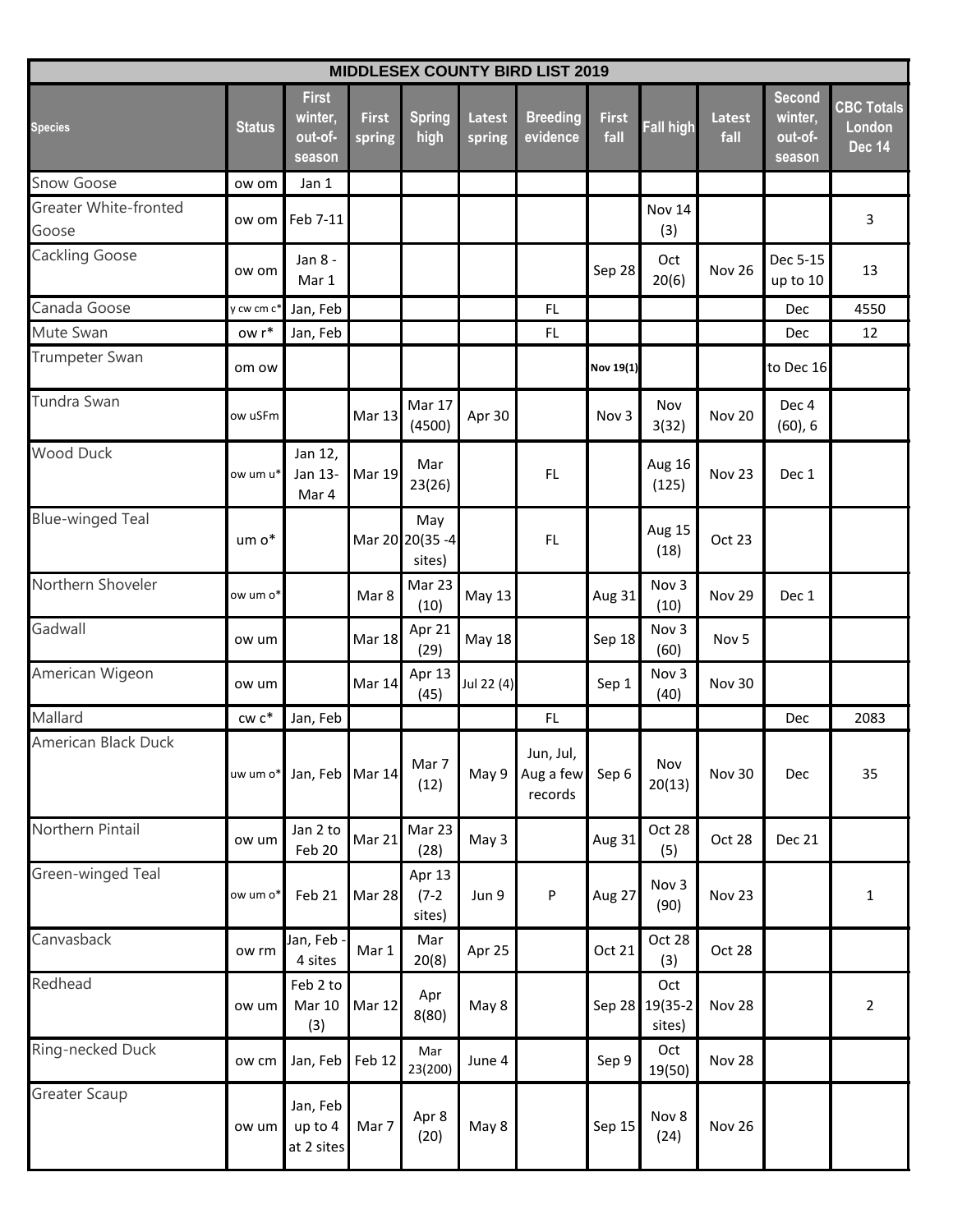| <b>MIDDLESEX COUNTY BIRD LIST 2019</b> |               |                                              |                        |                                   |                  |                                   |                      |                             |                       |                                               |                                              |  |  |
|----------------------------------------|---------------|----------------------------------------------|------------------------|-----------------------------------|------------------|-----------------------------------|----------------------|-----------------------------|-----------------------|-----------------------------------------------|----------------------------------------------|--|--|
| <b>Species</b>                         | <b>Status</b> | <b>First</b><br>winter,<br>out-of-<br>season | <b>First</b><br>spring | <b>Spring</b><br>high             | Latest<br>spring | <b>Breeding</b><br>evidence       | <b>First</b><br>fall | <b>Fall high</b>            | <b>Latest</b><br>fall | <b>Second</b><br>winter,<br>out-of-<br>season | <b>CBC Totals</b><br>London<br><b>Dec 14</b> |  |  |
| <b>Snow Goose</b>                      | ow om         | Jan 1                                        |                        |                                   |                  |                                   |                      |                             |                       |                                               |                                              |  |  |
| Greater White-fronted<br>Goose         | ow om         | Feb 7-11                                     |                        |                                   |                  |                                   |                      | Nov 14<br>(3)               |                       |                                               | 3                                            |  |  |
| <b>Cackling Goose</b>                  | ow om         | Jan 8 -<br>Mar 1                             |                        |                                   |                  |                                   | Sep 28               | Oct<br>20(6)                | <b>Nov 26</b>         | Dec 5-15<br>up to 10                          | 13                                           |  |  |
| Canada Goose                           | y cw cm c'    | Jan, Feb                                     |                        |                                   |                  | FL                                |                      |                             |                       | Dec                                           | 4550                                         |  |  |
| Mute Swan                              | ow r*         | Jan, Feb                                     |                        |                                   |                  | FL                                |                      |                             |                       | <b>Dec</b>                                    | 12                                           |  |  |
| <b>Trumpeter Swan</b>                  | om ow         |                                              |                        |                                   |                  |                                   | Nov 19(1)            |                             |                       | to Dec 16                                     |                                              |  |  |
| Tundra Swan                            | ow uSFm       |                                              | <b>Mar 13</b>          | Mar 17<br>(4500)                  | Apr 30           |                                   | Nov 3                | Nov<br>3(32)                | <b>Nov 20</b>         | Dec <sub>4</sub><br>(60), 6                   |                                              |  |  |
| <b>Wood Duck</b>                       | ow um u*      | Jan 12,<br>Jan 13-<br>Mar 4                  | <b>Mar 19</b>          | Mar<br>23(26)                     |                  | FL                                |                      | Aug 16<br>(125)             | Nov 23                | Dec 1                                         |                                              |  |  |
| <b>Blue-winged Teal</b>                | um o*         |                                              |                        | May<br>Mar 20 20(35 - 4<br>sites) |                  | FL                                |                      | Aug 15<br>(18)              | Oct 23                |                                               |                                              |  |  |
| Northern Shoveler                      | ow um o*      |                                              | Mar 8                  | Mar 23<br>(10)                    | <b>May 13</b>    |                                   | Aug 31               | Nov 3<br>(10)               | Nov 29                | Dec 1                                         |                                              |  |  |
| Gadwall                                | ow um         |                                              | <b>Mar 18</b>          | Apr 21<br>(29)                    | <b>May 18</b>    |                                   | Sep 18               | Nov 3<br>(60)               | Nov <sub>5</sub>      |                                               |                                              |  |  |
| American Wigeon                        | ow um         |                                              | Mar 14                 | Apr 13<br>(45)                    | Jul 22 (4)       |                                   | Sep 1                | Nov 3<br>(40)               | <b>Nov 30</b>         |                                               |                                              |  |  |
| Mallard                                | $cw$ $c^*$    | Jan, Feb                                     |                        |                                   |                  | FL                                |                      |                             |                       | Dec                                           | 2083                                         |  |  |
| American Black Duck                    |               | uw um o* Jan, Feb Mar 14                     |                        | Mar 7<br>(12)                     | May 9            | Jun, Jul,<br>Aug a few<br>records | Sep 6                | Nov<br>20(13)               | Nov 30                | Dec                                           | 35                                           |  |  |
| Northern Pintail                       | ow um         | Jan 2 to<br>Feb 20                           | Mar 21                 | Mar 23<br>(28)                    | May 3            |                                   | Aug 31               | Oct 28<br>(5)               | Oct 28                | Dec 21                                        |                                              |  |  |
| Green-winged Teal                      | ow um o*      | Feb 21                                       | <b>Mar 28</b>          | Apr 13<br>$(7-2)$<br>sites)       | Jun 9            | ${\sf P}$                         | Aug 27               | Nov 3<br>(90)               | Nov 23                |                                               | $\mathbf 1$                                  |  |  |
| Canvasback                             | ow rm         | Jan, Feb<br>4 sites                          | Mar 1                  | Mar<br>20(8)                      | Apr 25           |                                   | Oct 21               | Oct 28<br>(3)               | Oct 28                |                                               |                                              |  |  |
| Redhead                                | ow um         | Feb 2 to<br><b>Mar 10</b><br>(3)             | <b>Mar 12</b>          | Apr<br>8(80)                      | May 8            |                                   | Sep 28               | Oct<br>$19(35-2)$<br>sites) | Nov 28                |                                               | $\overline{2}$                               |  |  |
| Ring-necked Duck                       | ow cm         | Jan, Feb Feb 12                              |                        | Mar<br>23(200)                    | June 4           |                                   | Sep 9                | Oct<br>19(50)               | Nov 28                |                                               |                                              |  |  |
| <b>Greater Scaup</b>                   | ow um         | Jan, Feb<br>up to 4<br>at 2 sites            | Mar 7                  | Apr 8<br>(20)                     | May 8            |                                   | Sep 15               | Nov 8<br>(24)               | <b>Nov 26</b>         |                                               |                                              |  |  |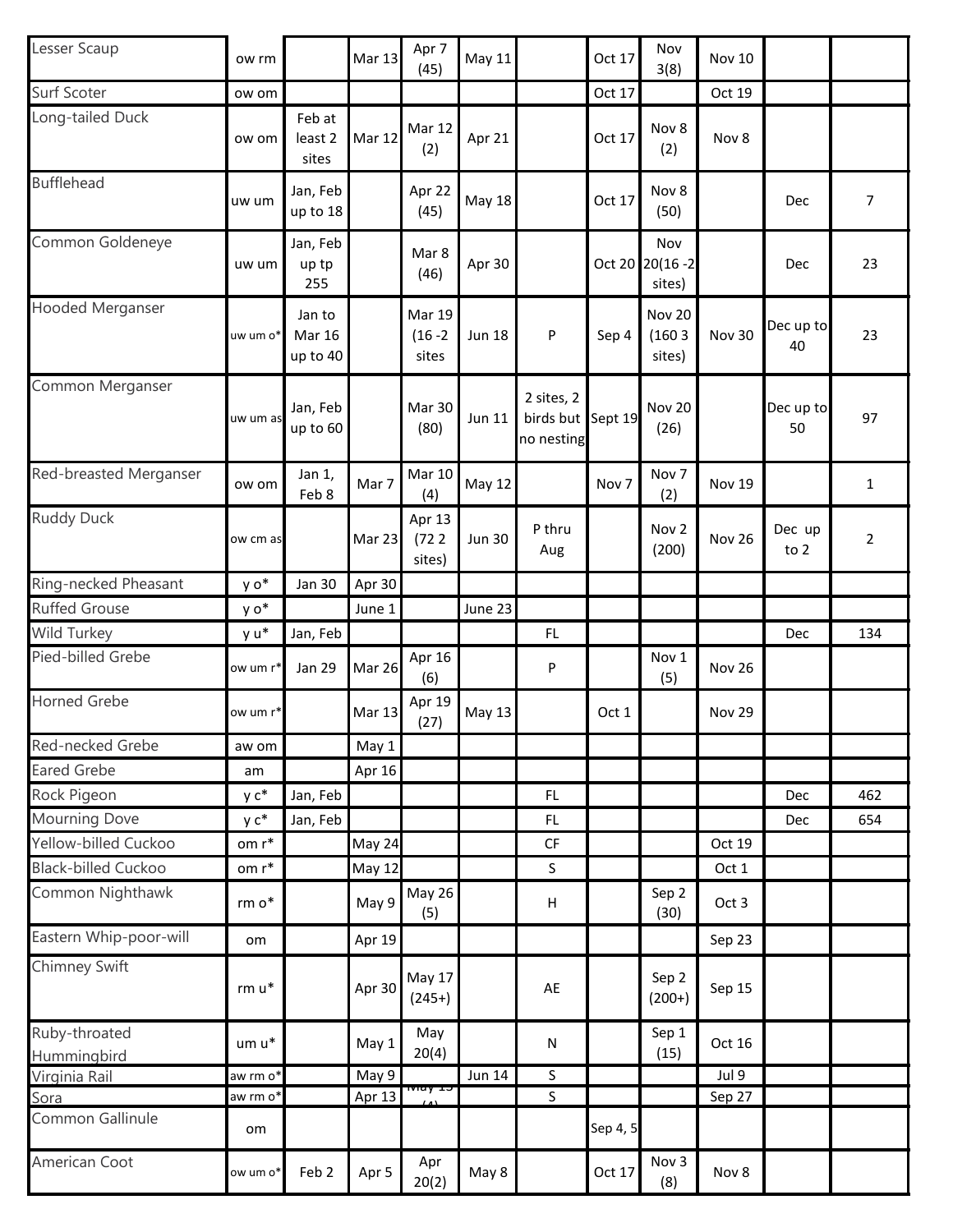| Lesser Scaup               | ow rm    |                                     | <b>Mar 13</b> | Apr 7<br>(45)                        | May 11        |                                               | Oct 17   | Nov<br>3(8)                   | <b>Nov 10</b> |                 |                |
|----------------------------|----------|-------------------------------------|---------------|--------------------------------------|---------------|-----------------------------------------------|----------|-------------------------------|---------------|-----------------|----------------|
| Surf Scoter                | ow om    |                                     |               |                                      |               |                                               | Oct 17   |                               | Oct 19        |                 |                |
| Long-tailed Duck           | ow om    | Feb at<br>least 2<br>sites          | Mar 12        | <b>Mar 12</b><br>(2)                 | Apr 21        |                                               | Oct 17   | Nov 8<br>(2)                  | Nov 8         |                 |                |
| <b>Bufflehead</b>          | uw um    | Jan, Feb<br>up to 18                |               | Apr 22<br>(45)                       | <b>May 18</b> |                                               | Oct 17   | Nov 8<br>(50)                 |               | Dec             | $\overline{7}$ |
| Common Goldeneye           | uw um    | Jan, Feb<br>up tp<br>255            |               | Mar 8<br>(46)                        | Apr 30        |                                               | Oct 20   | Nov<br>$20(16 - 2)$<br>sites) |               | Dec             | 23             |
| <b>Hooded Merganser</b>    | uw um o* | Jan to<br><b>Mar 16</b><br>up to 40 |               | <b>Mar 19</b><br>$(16 - 2)$<br>sites | <b>Jun 18</b> | P                                             | Sep 4    | Nov 20<br>(1603)<br>sites)    | Nov 30        | Dec up to<br>40 | 23             |
| Common Merganser           | uw um as | Jan, Feb<br>up to 60                |               | <b>Mar 30</b><br>(80)                | <b>Jun 11</b> | 2 sites, 2<br>birds but Sept 19<br>no nesting |          | Nov 20<br>(26)                |               | Dec up to<br>50 | 97             |
| Red-breasted Merganser     | ow om    | Jan 1,<br>Feb 8                     | Mar 7         | <b>Mar 10</b><br>(4)                 | May 12        |                                               | Nov 7    | Nov <sub>7</sub><br>(2)       | <b>Nov 19</b> |                 | $\mathbf 1$    |
| <b>Ruddy Duck</b>          | ow cm as |                                     | Mar 23        | Apr 13<br>(722)<br>sites)            | <b>Jun 30</b> | P thru<br>Aug                                 |          | Nov <sub>2</sub><br>(200)     | Nov 26        | Dec up<br>to 2  | $\overline{2}$ |
| Ring-necked Pheasant       | y o*     | <b>Jan 30</b>                       | Apr 30        |                                      |               |                                               |          |                               |               |                 |                |
| <b>Ruffed Grouse</b>       | y o*     |                                     | June 1        |                                      | June 23       |                                               |          |                               |               |                 |                |
| <b>Wild Turkey</b>         | y u*     | Jan, Feb                            |               |                                      |               | <b>FL</b>                                     |          |                               |               | Dec             | 134            |
| Pied-billed Grebe          | ow um r* | <b>Jan 29</b>                       | Mar 26        | Apr 16<br>(6)                        |               | P                                             |          | Nov 1<br>(5)                  | Nov 26        |                 |                |
| <b>Horned Grebe</b>        | ow um r* |                                     | <b>Mar 13</b> | Apr 19<br>(27)                       | May 13        |                                               | Oct 1    |                               | <b>Nov 29</b> |                 |                |
| Red-necked Grebe           | aw om    |                                     | May 1         |                                      |               |                                               |          |                               |               |                 |                |
| <b>Eared Grebe</b>         | am       |                                     | Apr 16        |                                      |               |                                               |          |                               |               |                 |                |
| Rock Pigeon                | y c*     | Jan, Feb                            |               |                                      |               | FL.                                           |          |                               |               | Dec             | 462            |
| <b>Mourning Dove</b>       | y c*     | Jan, Feb                            |               |                                      |               | FL.                                           |          |                               |               | Dec             | 654            |
| Yellow-billed Cuckoo       | om r*    |                                     | May 24        |                                      |               | CF                                            |          |                               | Oct 19        |                 |                |
| <b>Black-billed Cuckoo</b> | $om r*$  |                                     | <b>May 12</b> |                                      |               | S                                             |          |                               | Oct 1         |                 |                |
| Common Nighthawk           | $rm o*$  |                                     | May 9         | May 26<br>(5)                        |               | $\boldsymbol{\mathsf{H}}$                     |          | Sep 2<br>(30)                 | Oct 3         |                 |                |
| Eastern Whip-poor-will     | om       |                                     | Apr 19        |                                      |               |                                               |          |                               | Sep 23        |                 |                |
| Chimney Swift              | $rm u*$  |                                     | Apr 30        | May 17<br>$(245+)$                   |               | AE                                            |          | Sep 2<br>$(200+)$             | Sep 15        |                 |                |
| Ruby-throated              |          |                                     |               | May                                  |               |                                               |          | Sep 1                         |               |                 |                |
| Hummingbird                | um u*    |                                     | May 1         | 20(4)                                |               | $\mathsf{N}$                                  |          | (15)                          | Oct 16        |                 |                |
| Virginia Rail              | aw rm o* |                                     | May 9         | rviay 13                             | <b>Jun 14</b> | $\sf S$                                       |          |                               | Jul 9         |                 |                |
| Sora                       | aw rm o* |                                     | Apr $13$      |                                      |               | $\sf S$                                       |          |                               | Sep 27        |                 |                |
| Common Gallinule           | om       |                                     |               |                                      |               |                                               | Sep 4, 5 |                               |               |                 |                |
| American Coot              | ow um o* | Feb 2                               | Apr 5         | Apr<br>20(2)                         | May 8         |                                               | Oct 17   | Nov 3<br>(8)                  | Nov 8         |                 |                |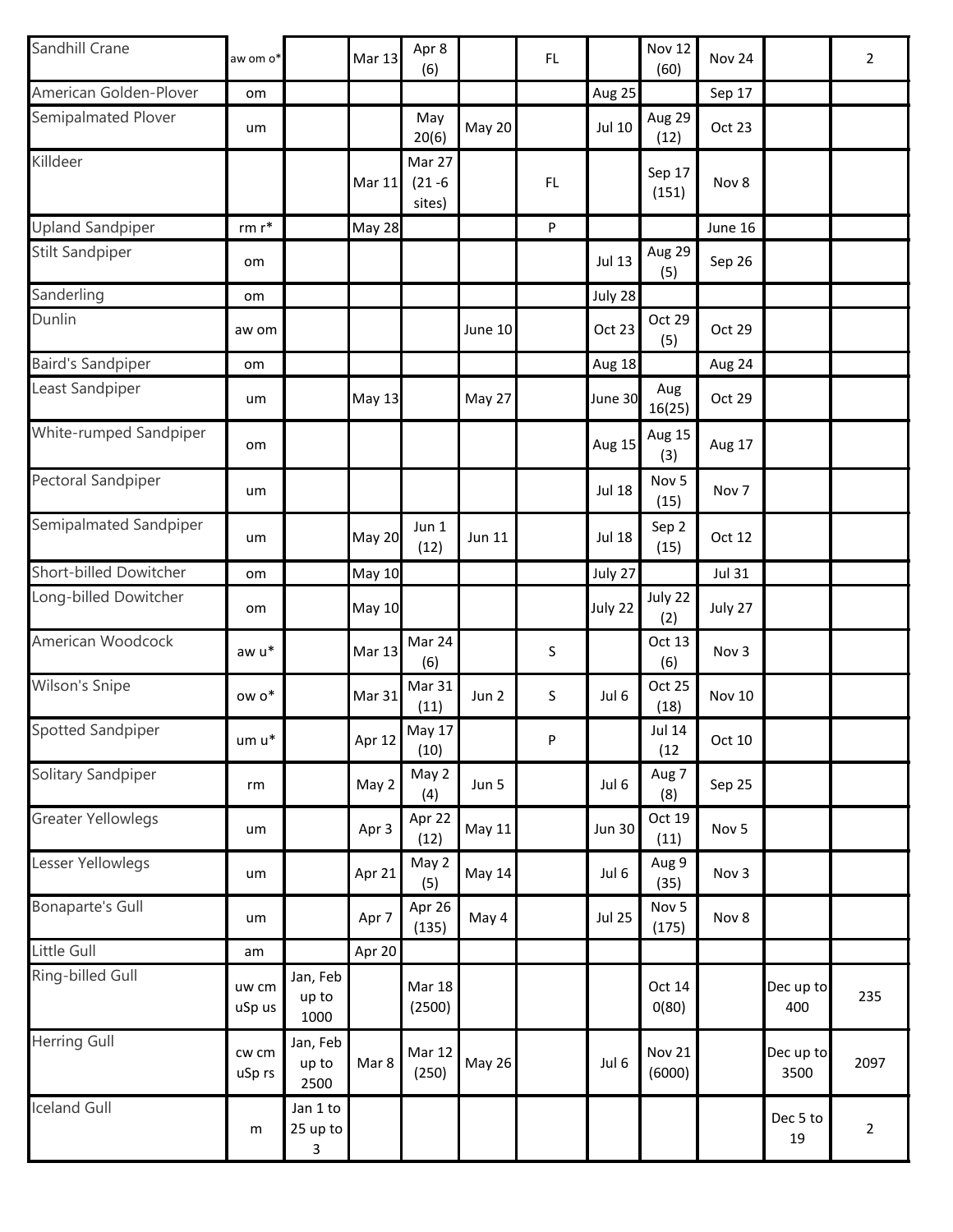| Sandhill Crane            | aw om o*        |                           | <b>Mar 13</b> | Apr 8<br>(6)                   |               | FL |               | <b>Nov 12</b><br>(60)     | Nov 24        |                   | $\overline{2}$ |
|---------------------------|-----------------|---------------------------|---------------|--------------------------------|---------------|----|---------------|---------------------------|---------------|-------------------|----------------|
| American Golden-Plover    | om              |                           |               |                                |               |    | Aug 25        |                           | Sep 17        |                   |                |
| Semipalmated Plover       | um              |                           |               | May<br>20(6)                   | <b>May 20</b> |    | <b>Jul 10</b> | Aug 29<br>(12)            | Oct 23        |                   |                |
| Killdeer                  |                 |                           | <b>Mar 11</b> | Mar 27<br>$(21 - 6)$<br>sites) |               | FL |               | Sep 17<br>(151)           | Nov 8         |                   |                |
| <b>Upland Sandpiper</b>   | $rm r*$         |                           | <b>May 28</b> |                                |               | P  |               |                           | June 16       |                   |                |
| <b>Stilt Sandpiper</b>    | om              |                           |               |                                |               |    | <b>Jul 13</b> | Aug 29<br>(5)             | Sep 26        |                   |                |
| Sanderling                | om              |                           |               |                                |               |    | July 28       |                           |               |                   |                |
| Dunlin                    | aw om           |                           |               |                                | June 10       |    | Oct 23        | Oct 29<br>(5)             | Oct 29        |                   |                |
| <b>Baird's Sandpiper</b>  | om              |                           |               |                                |               |    | Aug 18        |                           | Aug 24        |                   |                |
| Least Sandpiper           | um              |                           | <b>May 13</b> |                                | May 27        |    | June 30       | Aug<br>16(25)             | Oct 29        |                   |                |
| White-rumped Sandpiper    | om              |                           |               |                                |               |    | Aug 15        | Aug 15<br>(3)             | Aug 17        |                   |                |
| Pectoral Sandpiper        | um              |                           |               |                                |               |    | <b>Jul 18</b> | Nov 5<br>(15)             | Nov 7         |                   |                |
| Semipalmated Sandpiper    | um              |                           | <b>May 20</b> | Jun 1<br>(12)                  | Jun 11        |    | <b>Jul 18</b> | Sep 2<br>(15)             | Oct 12        |                   |                |
| Short-billed Dowitcher    | om              |                           | <b>May 10</b> |                                |               |    | July 27       |                           | <b>Jul 31</b> |                   |                |
| Long-billed Dowitcher     | om              |                           | <b>May 10</b> |                                |               |    | July 22       | July 22<br>(2)            | July 27       |                   |                |
| American Woodcock         | aw u*           |                           | <b>Mar 13</b> | Mar 24<br>(6)                  |               | S  |               | Oct 13<br>(6)             | Nov 3         |                   |                |
| Wilson's Snipe            | ow o*           |                           | Mar 31        | Mar 31<br>(11)                 | Jun 2         | S  | Jul 6         | Oct 25<br>(18)            | <b>Nov 10</b> |                   |                |
| Spotted Sandpiper         | um u*           |                           | Apr 12        | <b>May 17</b><br>(10)          |               | P  |               | Jul 14<br>(12)            | Oct 10        |                   |                |
| Solitary Sandpiper        | rm              |                           | May 2         | May 2<br>(4)                   | Jun 5         |    | Jul 6         | Aug 7<br>(8)              | Sep 25        |                   |                |
| <b>Greater Yellowlegs</b> | um              |                           | Apr 3         | Apr 22<br>(12)                 | May 11        |    | <b>Jun 30</b> | Oct 19<br>(11)            | Nov 5         |                   |                |
| Lesser Yellowlegs         | um              |                           | Apr 21        | May 2<br>(5)                   | May 14        |    | Jul 6         | Aug 9<br>(35)             | Nov 3         |                   |                |
| <b>Bonaparte's Gull</b>   | um              |                           | Apr 7         | Apr 26<br>(135)                | May 4         |    | <b>Jul 25</b> | Nov <sub>5</sub><br>(175) | Nov 8         |                   |                |
| Little Gull               | am              |                           | Apr 20        |                                |               |    |               |                           |               |                   |                |
| Ring-billed Gull          | uw cm<br>uSp us | Jan, Feb<br>up to<br>1000 |               | <b>Mar 18</b><br>(2500)        |               |    |               | Oct 14<br>O(80)           |               | Dec up to<br>400  | 235            |
| <b>Herring Gull</b>       | cw cm<br>uSp rs | Jan, Feb<br>up to<br>2500 | Mar 8         | Mar 12<br>(250)                | <b>May 26</b> |    | Jul 6         | <b>Nov 21</b><br>(6000)   |               | Dec up to<br>3500 | 2097           |
| <b>Iceland Gull</b>       | m               | Jan 1 to<br>25 up to<br>3 |               |                                |               |    |               |                           |               | Dec 5 to<br>19    | $\overline{2}$ |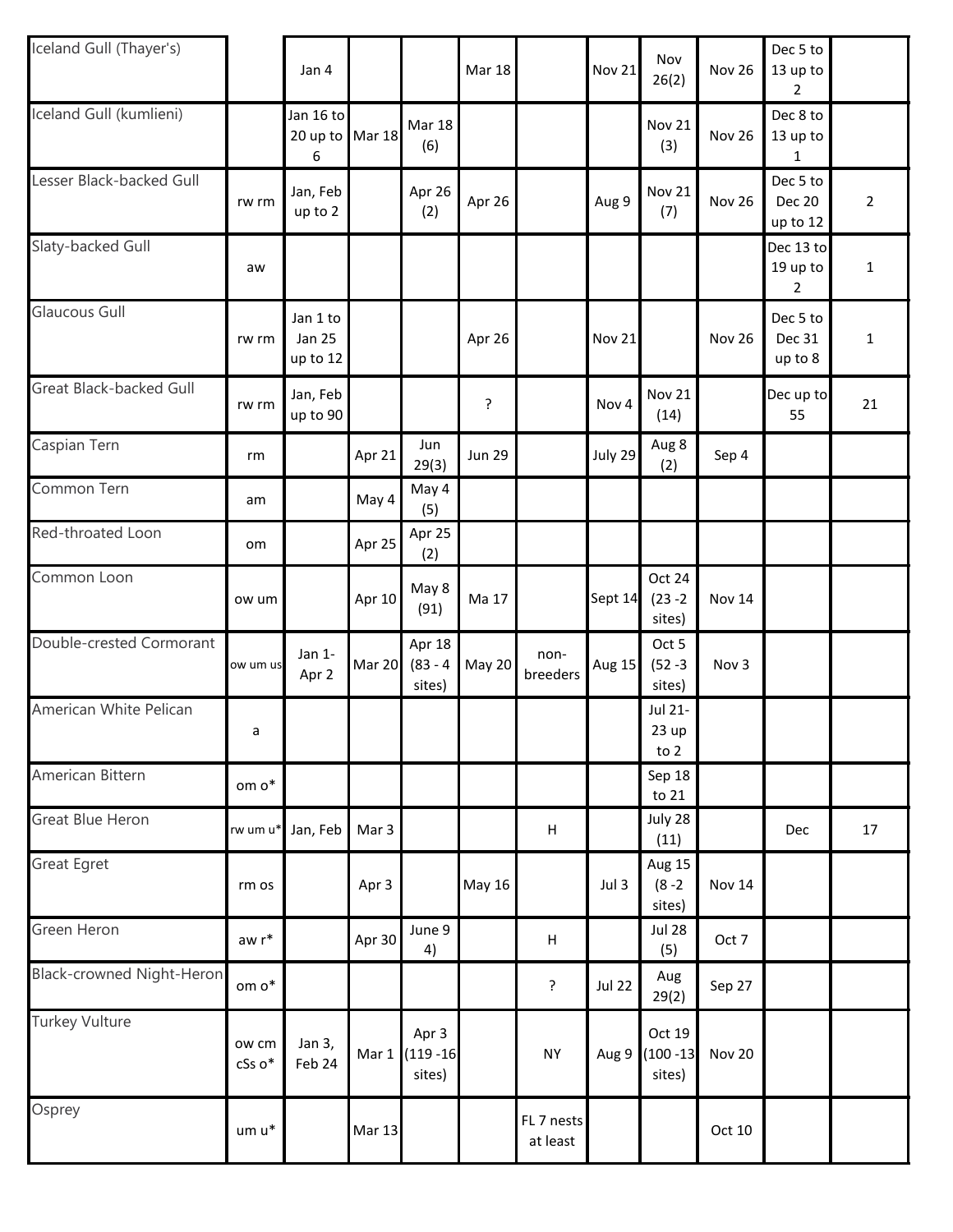| Iceland Gull (Thayer's)   |                 | Jan 4                                 |               |                                 | <b>Mar 18</b> |                           | <b>Nov 21</b> | Nov<br>26(2)                     | <b>Nov 26</b> | Dec 5 to<br>13 up to<br>$\overline{2}$ |                |
|---------------------------|-----------------|---------------------------------------|---------------|---------------------------------|---------------|---------------------------|---------------|----------------------------------|---------------|----------------------------------------|----------------|
| Iceland Gull (kumlieni)   |                 | Jan 16 to<br>20 up to Mar 18<br>6     |               | <b>Mar 18</b><br>(6)            |               |                           |               | <b>Nov 21</b><br>(3)             | <b>Nov 26</b> | Dec 8 to<br>13 up to<br>1              |                |
| Lesser Black-backed Gull  | rw rm           | Jan, Feb<br>up to 2                   |               | Apr 26<br>(2)                   | Apr 26        |                           | Aug 9         | <b>Nov 21</b><br>(7)             | Nov 26        | Dec 5 to<br><b>Dec 20</b><br>up to 12  | $\overline{2}$ |
| Slaty-backed Gull         | aw              |                                       |               |                                 |               |                           |               |                                  |               | Dec 13 to<br>19 up to<br>2             | $\mathbf 1$    |
| <b>Glaucous Gull</b>      | rw rm           | Jan 1 to<br><b>Jan 25</b><br>up to 12 |               |                                 | Apr 26        |                           | <b>Nov 21</b> |                                  | <b>Nov 26</b> | Dec 5 to<br>Dec 31<br>up to 8          | $\mathbf 1$    |
| Great Black-backed Gull   | rw rm           | Jan, Feb<br>up to 90                  |               |                                 | ?             |                           | Nov 4         | <b>Nov 21</b><br>(14)            |               | Dec up to<br>55                        | 21             |
| Caspian Tern              | rm              |                                       | Apr 21        | Jun<br>29(3)                    | <b>Jun 29</b> |                           | July 29       | Aug 8<br>(2)                     | Sep 4         |                                        |                |
| Common Tern               | am              |                                       | May 4         | May 4<br>(5)                    |               |                           |               |                                  |               |                                        |                |
| Red-throated Loon         | om              |                                       | Apr 25        | Apr 25<br>(2)                   |               |                           |               |                                  |               |                                        |                |
| Common Loon               | ow um           |                                       | Apr 10        | May 8<br>(91)                   | Ma 17         |                           | Sept 14       | Oct 24<br>$(23 - 2)$<br>sites)   | <b>Nov 14</b> |                                        |                |
| Double-crested Cormorant  | ow um us        | Jan 1-<br>Apr 2                       | Mar 20        | Apr 18<br>$(83 - 4)$<br>sites)  | May 20        | non-<br>breeders          | <b>Aug 15</b> | Oct 5<br>$(52 - 3)$<br>sites)    | Nov 3         |                                        |                |
| American White Pelican    | a               |                                       |               |                                 |               |                           |               | Jul 21-<br>23 up<br>to 2         |               |                                        |                |
| American Bittern          | om o*           |                                       |               |                                 |               |                           |               | Sep 18<br>to 21                  |               |                                        |                |
| <b>Great Blue Heron</b>   |                 | rw um u* Jan, Feb                     | Mar 3         |                                 |               | H                         |               | July 28<br>(11)                  |               | Dec                                    | 17             |
| <b>Great Egret</b>        | rm os           |                                       | Apr 3         |                                 | May 16        |                           | Jul 3         | Aug 15<br>$(8 - 2)$<br>sites)    | <b>Nov 14</b> |                                        |                |
| Green Heron               | aw r*           |                                       | Apr 30        | June 9<br>4)                    |               | $\boldsymbol{\mathsf{H}}$ |               | <b>Jul 28</b><br>(5)             | Oct 7         |                                        |                |
| Black-crowned Night-Heron | om o*           |                                       |               |                                 |               | ?                         | <b>Jul 22</b> | Aug<br>29(2)                     | Sep 27        |                                        |                |
| <b>Turkey Vulture</b>     | ow cm<br>cSs o* | Jan 3,<br>Feb 24                      | Mar 1         | Apr 3<br>$(119 - 16)$<br>sites) |               | <b>NY</b>                 | Aug 9         | Oct 19<br>$(100 - 13)$<br>sites) | <b>Nov 20</b> |                                        |                |
| Osprey                    | um u*           |                                       | <b>Mar 13</b> |                                 |               | FL 7 nests<br>at least    |               |                                  | Oct 10        |                                        |                |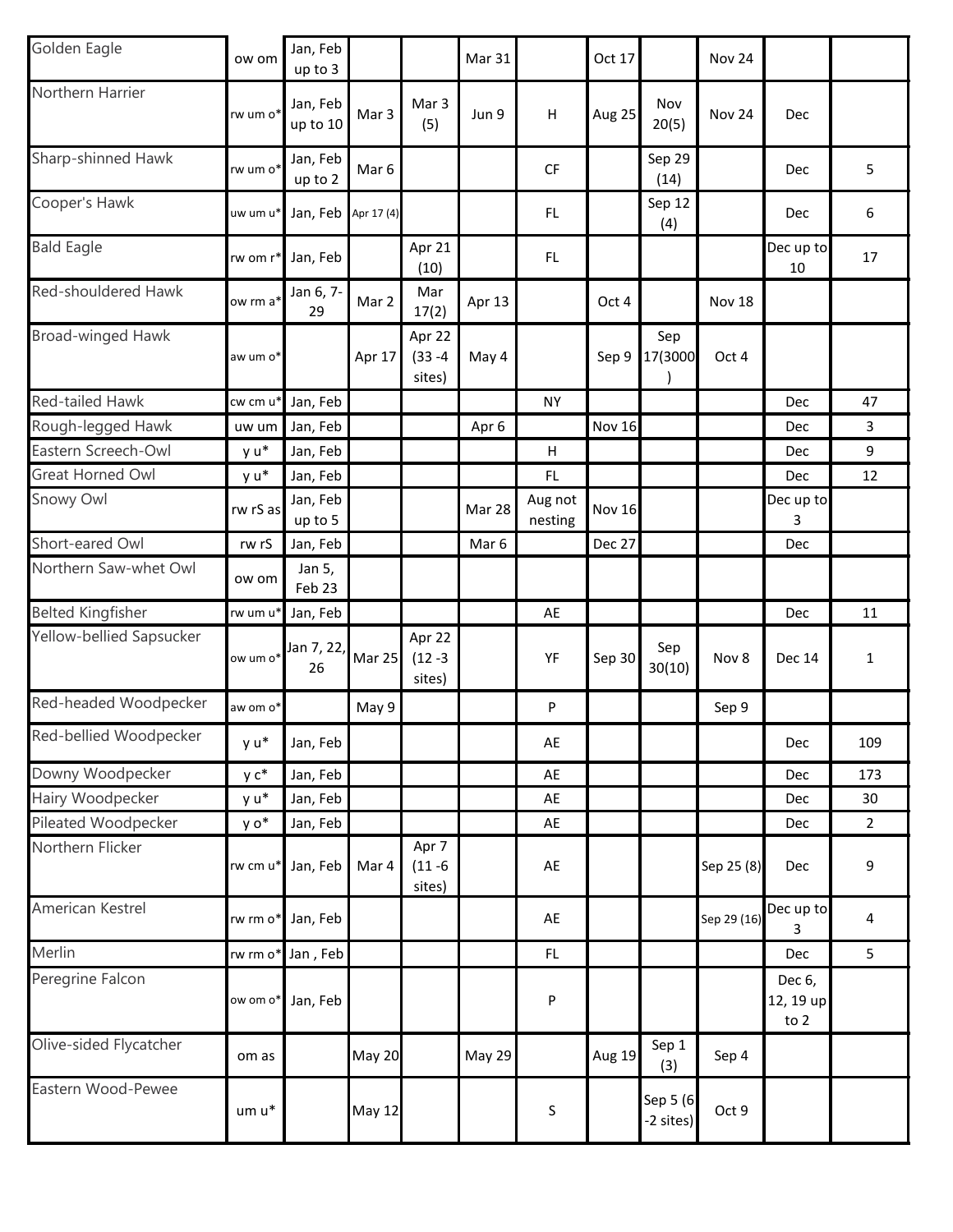| Golden Eagle             | ow om                | Jan, Feb<br>up to 3  |               |                                | Mar 31        |                    | Oct 17        |                       | <b>Nov 24</b> |                             |                         |
|--------------------------|----------------------|----------------------|---------------|--------------------------------|---------------|--------------------|---------------|-----------------------|---------------|-----------------------------|-------------------------|
| Northern Harrier         | rw um o*             | Jan, Feb<br>up to 10 | Mar 3         | Mar 3<br>(5)                   | Jun 9         | H                  | Aug 25        | Nov<br>20(5)          | Nov 24        | Dec                         |                         |
| Sharp-shinned Hawk       | rw um o*             | Jan, Feb<br>up to 2  | Mar 6         |                                |               | CF                 |               | Sep 29<br>(14)        |               | Dec                         | 5                       |
| Cooper's Hawk            | uw um u*             | Jan, Feb             | Apr 17 (4)    |                                |               | FL.                |               | Sep 12<br>(4)         |               | Dec                         | 6                       |
| <b>Bald Eagle</b>        | rw om r*             | Jan, Feb             |               | Apr 21<br>(10)                 |               | FL.                |               |                       |               | Dec up to<br>10             | 17                      |
| Red-shouldered Hawk      | ow rm a <sup>*</sup> | Jan 6, 7-<br>29      | Mar 2         | Mar<br>17(2)                   | Apr 13        |                    | Oct 4         |                       | Nov 18        |                             |                         |
| Broad-winged Hawk        | aw um o*             |                      | Apr 17        | Apr 22<br>$(33 - 4)$<br>sites) | May 4         |                    | Sep 9         | Sep<br>17(3000        | Oct 4         |                             |                         |
| Red-tailed Hawk          | cw cm u <sup>*</sup> | Jan, Feb             |               |                                |               | <b>NY</b>          |               |                       |               | Dec                         | 47                      |
| Rough-legged Hawk        | uw um                | Jan, Feb             |               |                                | Apr 6         |                    | <b>Nov 16</b> |                       |               | Dec                         | 3                       |
| Eastern Screech-Owl      | y u*                 | Jan, Feb             |               |                                |               | H                  |               |                       |               | Dec                         | 9                       |
| Great Horned Owl         | y u*                 | Jan, Feb             |               |                                |               | FL.                |               |                       |               | Dec                         | 12                      |
| Snowy Owl                | rw rS as             | Jan, Feb<br>up to 5  |               |                                | Mar 28        | Aug not<br>nesting | <b>Nov 16</b> |                       |               | Dec up to<br>3              |                         |
| Short-eared Owl          | rw rS                | Jan, Feb             |               |                                | Mar 6         |                    | <b>Dec 27</b> |                       |               | Dec                         |                         |
| Northern Saw-whet Owl    | ow om                | Jan 5,<br>Feb 23     |               |                                |               |                    |               |                       |               |                             |                         |
| <b>Belted Kingfisher</b> | rw um u              | Jan, Feb             |               |                                |               | AE                 |               |                       |               | Dec                         | 11                      |
| Yellow-bellied Sapsucker | ow um o*             | Jan 7, 22,<br>26     | Mar 25        | Apr 22<br>$(12 - 3)$<br>sites) |               | YF                 | Sep 30        | Sep<br>30(10)         | Nov 8         | <b>Dec 14</b>               | $\mathbf{1}$            |
| Red-headed Woodpecker    | aw om o*             |                      | May 9         |                                |               | P                  |               |                       | Sep 9         |                             |                         |
| Red-bellied Woodpecker   | y u*                 | Jan, Feb             |               |                                |               | AE                 |               |                       |               | Dec                         | 109                     |
| Downy Woodpecker         | y c*                 | Jan, Feb             |               |                                |               | AE                 |               |                       |               | Dec                         | 173                     |
| Hairy Woodpecker         | y u*                 | Jan, Feb             |               |                                |               | AE                 |               |                       |               | Dec                         | 30                      |
| Pileated Woodpecker      | y o*                 | Jan, Feb             |               |                                |               | AE                 |               |                       |               | Dec                         | $\overline{2}$          |
| Northern Flicker         | rw cm u*             | Jan, Feb             | Mar 4         | Apr 7<br>$(11 - 6)$<br>sites)  |               | AE                 |               |                       | Sep 25 (8)    | Dec                         | 9                       |
| American Kestrel         | rw rm o*             | Jan, Feb             |               |                                |               | AE                 |               |                       | Sep 29 (16)   | Dec up to<br>3              | $\overline{\mathbf{4}}$ |
| Merlin                   | rw rm o*             | Jan, Feb             |               |                                |               | FL                 |               |                       |               | Dec                         | 5                       |
| Peregrine Falcon         | ow om o*             | Jan, Feb             |               |                                |               | P                  |               |                       |               | Dec 6,<br>12, 19 up<br>to 2 |                         |
| Olive-sided Flycatcher   | om as                |                      | <b>May 20</b> |                                | <b>May 29</b> |                    | <b>Aug 19</b> | Sep 1<br>(3)          | Sep 4         |                             |                         |
| Eastern Wood-Pewee       | um u*                |                      | <b>May 12</b> |                                |               | $\sf S$            |               | Sep 5 (6<br>-2 sites) | Oct 9         |                             |                         |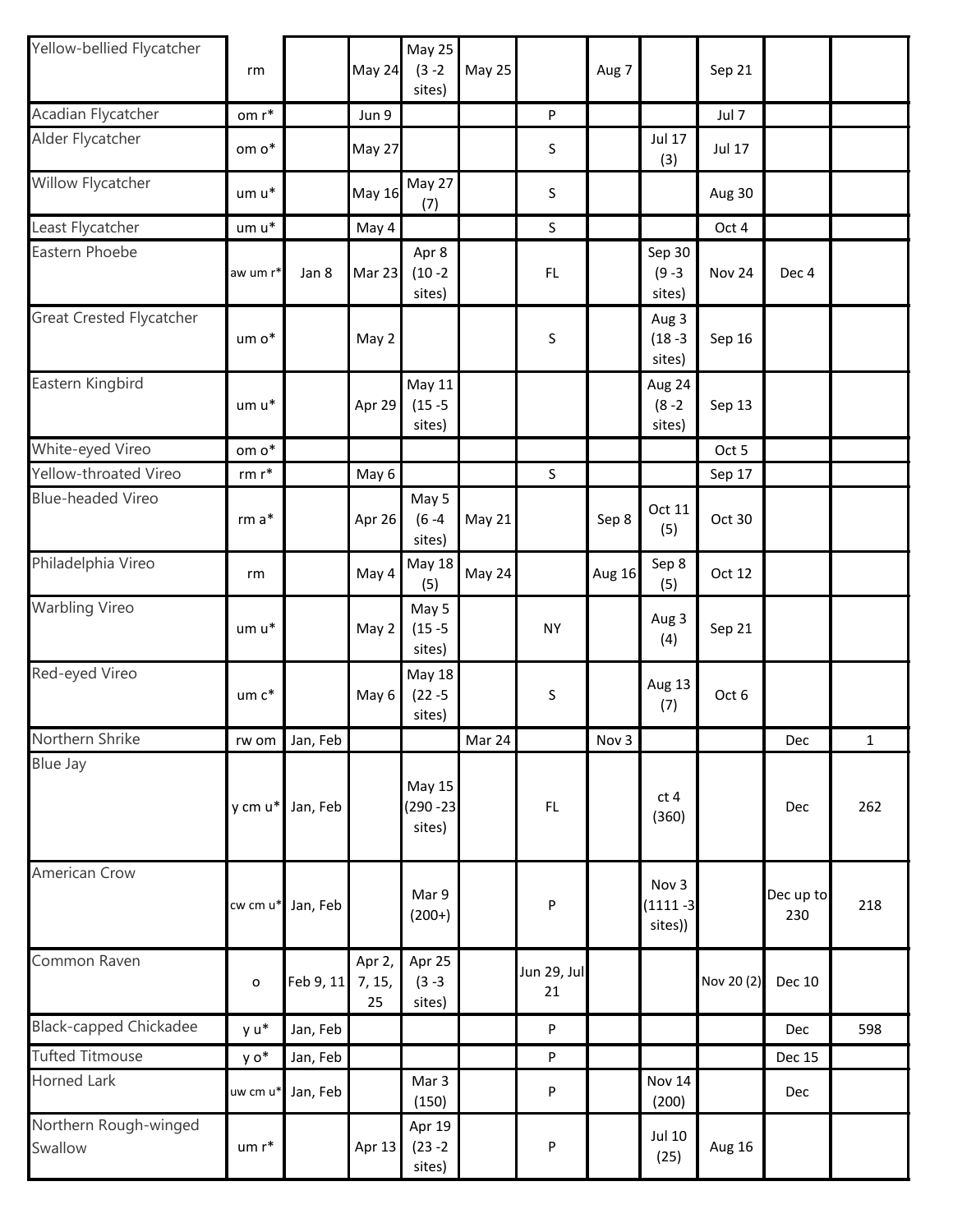| Yellow-bellied Flycatcher        | rm                |           | May 24                 | May 25<br>$(3 - 2)$<br>sites)         | May 25 |                   | Aug 7         |                                  | Sep 21        |                  |             |
|----------------------------------|-------------------|-----------|------------------------|---------------------------------------|--------|-------------------|---------------|----------------------------------|---------------|------------------|-------------|
| Acadian Flycatcher               | om $\mathsf{r}^*$ |           | Jun 9                  |                                       |        | $\sf P$           |               |                                  | Jul 7         |                  |             |
| Alder Flycatcher                 | om o*             |           | May 27                 |                                       |        | S                 |               | <b>Jul 17</b><br>(3)             | <b>Jul 17</b> |                  |             |
| Willow Flycatcher                | um u*             |           | <b>May 16</b>          | May 27<br>(7)                         |        | S                 |               |                                  | Aug 30        |                  |             |
| Least Flycatcher                 | um u*             |           | May 4                  |                                       |        | $\sf S$           |               |                                  | Oct 4         |                  |             |
| Eastern Phoebe                   | aw um r*          | Jan 8     | Mar 23                 | Apr 8<br>$(10 - 2)$<br>sites)         |        | FL                |               | Sep 30<br>$(9 - 3)$<br>sites)    | Nov 24        | Dec 4            |             |
| <b>Great Crested Flycatcher</b>  | um o*             |           | May 2                  |                                       |        | S                 |               | Aug 3<br>$(18 - 3)$<br>sites)    | Sep 16        |                  |             |
| Eastern Kingbird                 | um u*             |           | Apr 29                 | May 11<br>$(15 - 5)$<br>sites)        |        |                   |               | Aug 24<br>$(8 - 2)$<br>sites)    | Sep 13        |                  |             |
| White-eyed Vireo                 | om o*             |           |                        |                                       |        |                   |               |                                  | Oct 5         |                  |             |
| Yellow-throated Vireo            | $rm r*$           |           | May 6                  |                                       |        | $\mathsf S$       |               |                                  | Sep 17        |                  |             |
| <b>Blue-headed Vireo</b>         | $rm a*$           |           | Apr 26                 | May 5<br>$(6 - 4)$<br>sites)          | May 21 |                   | Sep 8         | Oct 11<br>(5)                    | Oct 30        |                  |             |
| Philadelphia Vireo               | rm                |           | May 4                  | <b>May 18</b><br>(5)                  | May 24 |                   | <b>Aug 16</b> | Sep 8<br>(5)                     | Oct 12        |                  |             |
| <b>Warbling Vireo</b>            | um u*             |           | May 2                  | May 5<br>$(15 - 5)$<br>sites)         |        | <b>NY</b>         |               | Aug 3<br>(4)                     | Sep 21        |                  |             |
| Red-eyed Vireo                   | $um c*$           |           | May 6                  | <b>May 18</b><br>$(22 - 5)$<br>sites) |        | S                 |               | Aug 13<br>(7)                    | Oct 6         |                  |             |
| Northern Shrike                  | rw om             | Jan, Feb  |                        |                                       | Mar 24 |                   | Nov 3         |                                  |               | Dec              | $\mathbf 1$ |
| Blue Jay                         | y cm u*           | Jan, Feb  |                        | May 15<br>$(290 - 23)$<br>sites)      |        | FL                |               | ct <sub>4</sub><br>(360)         |               | Dec              | 262         |
| American Crow                    | cw cm u*          | Jan, Feb  |                        | Mar 9<br>$(200+)$                     |        | P                 |               | Nov 3<br>$(1111 - 3)$<br>sites)) |               | Dec up to<br>230 | 218         |
| Common Raven                     | $\mathbf{o}$      | Feb 9, 11 | Apr 2,<br>7, 15,<br>25 | Apr 25<br>$(3 - 3)$<br>sites)         |        | Jun 29, Jul<br>21 |               |                                  | Nov 20 (2)    | Dec 10           |             |
| <b>Black-capped Chickadee</b>    | y u*              | Jan, Feb  |                        |                                       |        | P                 |               |                                  |               | Dec              | 598         |
| <b>Tufted Titmouse</b>           | y o*              | Jan, Feb  |                        |                                       |        | P                 |               |                                  |               | <b>Dec 15</b>    |             |
| <b>Horned Lark</b>               | uw cm u*          | Jan, Feb  |                        | Mar 3<br>(150)                        |        | P                 |               | <b>Nov 14</b><br>(200)           |               | Dec              |             |
| Northern Rough-winged<br>Swallow | $um r*$           |           | Apr 13                 | Apr 19<br>$(23 - 2)$<br>sites)        |        | P                 |               | <b>Jul 10</b><br>(25)            | Aug 16        |                  |             |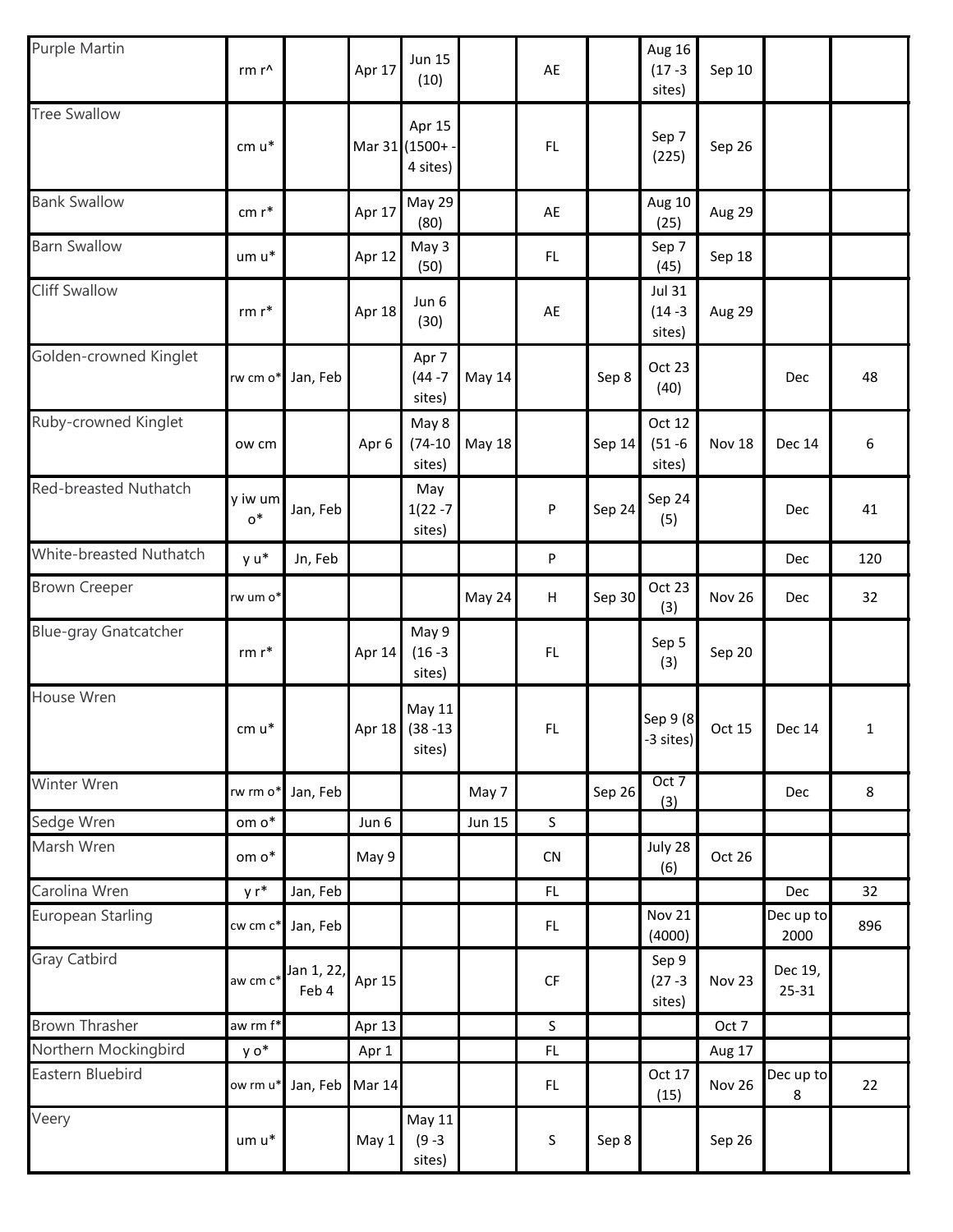| Purple Martin                | rm r^             |                     | Apr 17        | <b>Jun 15</b><br>(10)                |               | AE          |        | Aug 16<br>$(17 - 3)$<br>sites)        | Sep 10        |                   |     |
|------------------------------|-------------------|---------------------|---------------|--------------------------------------|---------------|-------------|--------|---------------------------------------|---------------|-------------------|-----|
| <b>Tree Swallow</b>          | cm u*             |                     |               | Apr 15<br>Mar 31 (1500+<br>4 sites)  |               | FL          |        | Sep 7<br>(225)                        | Sep 26        |                   |     |
| <b>Bank Swallow</b>          | cm r*             |                     | Apr 17        | May 29<br>(80)                       |               | AE          |        | Aug 10<br>(25)                        | Aug 29        |                   |     |
| <b>Barn Swallow</b>          | um u*             |                     | Apr 12        | May 3<br>(50)                        |               | FL          |        | Sep 7<br>(45)                         | Sep 18        |                   |     |
| <b>Cliff Swallow</b>         | $rm r*$           |                     | Apr 18        | Jun 6<br>(30)                        |               | AE          |        | <b>Jul 31</b><br>$(14 - 3)$<br>sites) | Aug 29        |                   |     |
| Golden-crowned Kinglet       | rw cm o*          | Jan, Feb            |               | Apr 7<br>$(44 - 7)$<br>sites)        | May 14        |             | Sep 8  | Oct 23<br>(40)                        |               | Dec               | 48  |
| Ruby-crowned Kinglet         | ow cm             |                     | Apr 6         | May 8<br>$(74-10)$<br>sites)         | <b>May 18</b> |             | Sep 14 | Oct 12<br>$(51 - 6)$<br>sites)        | Nov 18        | <b>Dec 14</b>     | 6   |
| Red-breasted Nuthatch        | y iw um<br>$o^*$  | Jan, Feb            |               | May<br>$1(22 - 7)$<br>sites)         |               | P           | Sep 24 | Sep 24<br>(5)                         |               | Dec               | 41  |
| White-breasted Nuthatch      | y u*              | Jn, Feb             |               |                                      |               | P           |        |                                       |               | Dec               | 120 |
| <b>Brown Creeper</b>         | rw um o*          |                     |               |                                      | May 24        | Н           | Sep 30 | Oct 23<br>(3)                         | Nov 26        | Dec               | 32  |
| <b>Blue-gray Gnatcatcher</b> | $rm r*$           |                     | Apr 14        | May 9<br>$(16 - 3)$<br>sites)        |               | <b>FL</b>   |        | Sep 5<br>(3)                          | Sep 20        |                   |     |
| House Wren                   | $cm u*$           |                     |               | May 11<br>Apr 18 (38 -13)<br>sites)  |               | FL.         |        | Sep 9 (8<br>-3 sites)                 | Oct 15        | Dec $14$          | 1   |
| Winter Wren                  | rw rm o*          | Jan, Feb            |               |                                      | May 7         |             | Sep 26 | Oct 7<br>(3)                          |               | Dec               | 8   |
| Sedge Wren                   | om $\mathsf{o}^*$ |                     | Jun 6         |                                      | <b>Jun 15</b> | $\sf S$     |        |                                       |               |                   |     |
| Marsh Wren                   | om o*             |                     | May 9         |                                      |               | CN          |        | July 28<br>(6)                        | Oct 26        |                   |     |
| Carolina Wren                | $yr^*$            | Jan, Feb            |               |                                      |               | FL          |        |                                       |               | Dec               | 32  |
| European Starling            | cw cm c*          | Jan, Feb            |               |                                      |               | FL.         |        | <b>Nov 21</b><br>(4000)               |               | Dec up to<br>2000 | 896 |
| <b>Gray Catbird</b>          | aw cm c*          | Jan 1, 22,<br>Feb 4 | Apr 15        |                                      |               | <b>CF</b>   |        | Sep 9<br>$(27 - 3)$<br>sites)         | Nov 23        | Dec 19,<br>25-31  |     |
| <b>Brown Thrasher</b>        | aw rm f*          |                     | Apr 13        |                                      |               | $\mathsf S$ |        |                                       | Oct 7         |                   |     |
| Northern Mockingbird         | y o*              |                     | Apr 1         |                                      |               | FL          |        |                                       | Aug 17        |                   |     |
| Eastern Bluebird             | ow rm u*          | Jan, Feb            | <b>Mar 14</b> |                                      |               | FL.         |        | Oct 17<br>(15)                        | <b>Nov 26</b> | Dec up to<br>8    | 22  |
| Veery                        | um u*             |                     | May 1         | <b>May 11</b><br>$(9 - 3)$<br>sites) |               | $\sf S$     | Sep 8  |                                       | Sep 26        |                   |     |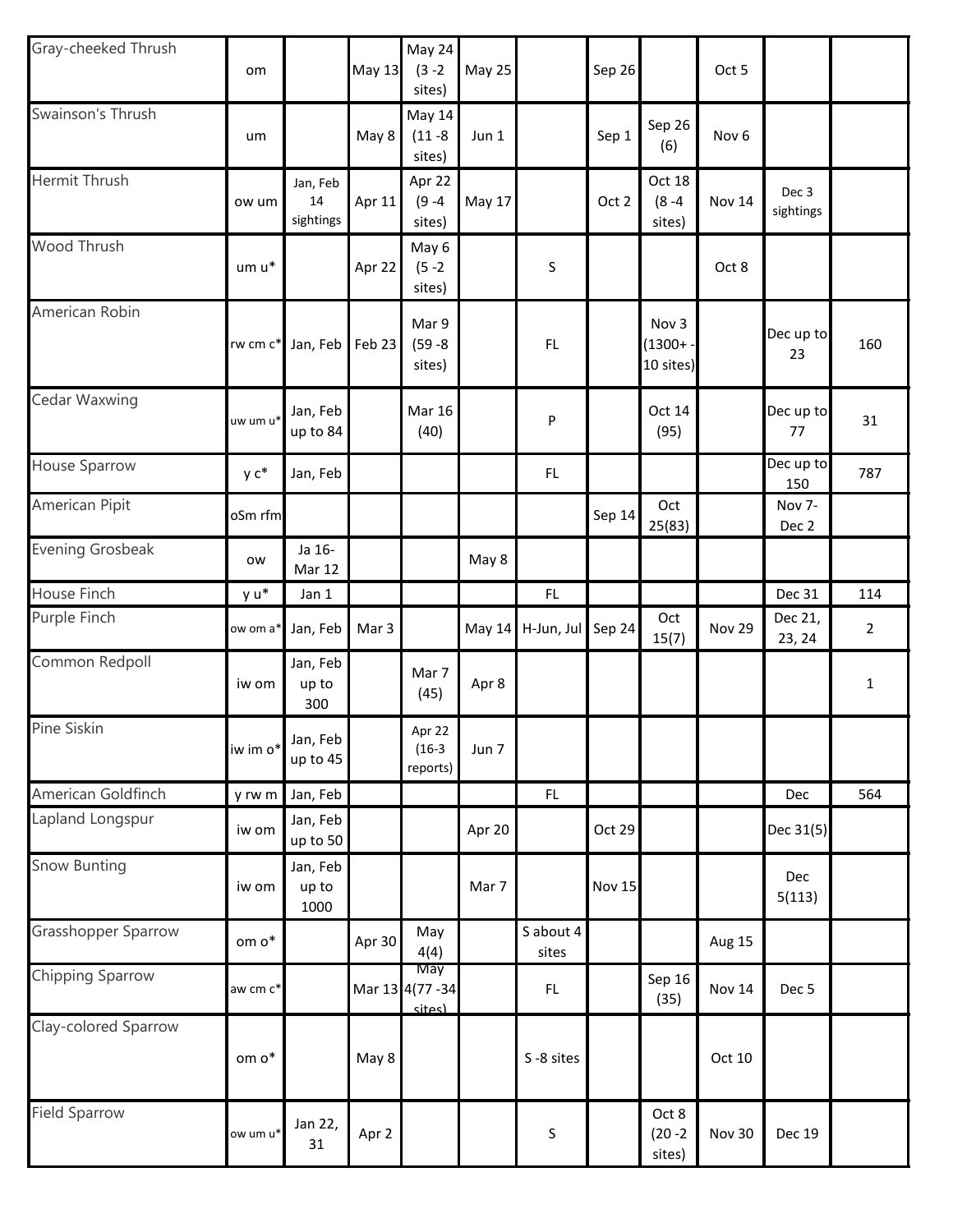| Gray-cheeked Thrush     | om       |                             | <b>May 13</b>    | May 24<br>$(3 - 2)$<br>sites)         | May 25        |                   | Sep 26        |                                   | Oct 5            |                    |                |
|-------------------------|----------|-----------------------------|------------------|---------------------------------------|---------------|-------------------|---------------|-----------------------------------|------------------|--------------------|----------------|
| Swainson's Thrush       | um       |                             | May 8            | <b>May 14</b><br>$(11 - 8)$<br>sites) | Jun 1         |                   | Sep 1         | Sep 26<br>(6)                     | Nov <sub>6</sub> |                    |                |
| Hermit Thrush           | ow um    | Jan, Feb<br>14<br>sightings | Apr 11           | Apr 22<br>$(9 - 4)$<br>sites)         | May 17        |                   | Oct 2         | Oct 18<br>$(8 - 4)$<br>sites)     | Nov 14           | Dec 3<br>sightings |                |
| Wood Thrush             | um u*    |                             | Apr 22           | May 6<br>$(5 - 2)$<br>sites)          |               | S                 |               |                                   | Oct 8            |                    |                |
| American Robin          | rw cm c* | Jan, Feb                    | Feb 23           | Mar 9<br>$(59 - 8)$<br>sites)         |               | FL                |               | Nov 3<br>$(1300 + -$<br>10 sites) |                  | Dec up to<br>23    | 160            |
| Cedar Waxwing           | uw um u* | Jan, Feb<br>up to 84        |                  | <b>Mar 16</b><br>(40)                 |               | P                 |               | Oct 14<br>(95)                    |                  | Dec up to<br>77    | 31             |
| House Sparrow           | y c*     | Jan, Feb                    |                  |                                       |               | FL                |               |                                   |                  | Dec up to<br>150   | 787            |
| American Pipit          | oSm rfm  |                             |                  |                                       |               |                   | Sep 14        | Oct<br>25(83)                     |                  | Nov 7-<br>Dec 2    |                |
| <b>Evening Grosbeak</b> | ow       | Ja 16-<br>Mar 12            |                  |                                       | May 8         |                   |               |                                   |                  |                    |                |
| House Finch             | y u*     | Jan 1                       |                  |                                       |               | FL                |               |                                   |                  | Dec 31             | 114            |
| Purple Finch            | ow om a  | Jan, Feb                    | Mar <sub>3</sub> |                                       | <b>May 14</b> | H-Jun, Jul Sep 24 |               | Oct<br>15(7)                      | <b>Nov 29</b>    | Dec 21,<br>23, 24  | $\overline{2}$ |
| Common Redpoll          | iw om    | Jan, Feb<br>up to<br>300    |                  | Mar 7<br>(45)                         | Apr 8         |                   |               |                                   |                  |                    | $\mathbf 1$    |
| Pine Siskin             | iw im o* | Jan, Feb<br>up to 45        |                  | Apr 22 $ $<br>$(16-3)$<br>reports)    | Jun 7         |                   |               |                                   |                  |                    |                |
| American Goldfinch      | y rw m   | Jan, Feb                    |                  |                                       |               | FL                |               |                                   |                  | Dec                | 564            |
| Lapland Longspur        | iw om    | Jan, Feb<br>up to 50        |                  |                                       | Apr 20        |                   | Oct 29        |                                   |                  | Dec 31(5)          |                |
| <b>Snow Bunting</b>     | iw om    | Jan, Feb<br>up to<br>1000   |                  |                                       | Mar 7         |                   | <b>Nov 15</b> |                                   |                  | Dec<br>5(113)      |                |
| Grasshopper Sparrow     | om o*    |                             | Apr 30           | May<br>4(4)                           |               | Sabout 4<br>sites |               |                                   | Aug 15           |                    |                |
| Chipping Sparrow        | aw cm c* |                             |                  | May<br>Mar 13 4(77 - 34<br>sites)     |               | FL.               |               | Sep 16<br>(35)                    | <b>Nov 14</b>    | Dec 5              |                |
| Clay-colored Sparrow    | om o*    |                             | May 8            |                                       |               | S-8 sites         |               |                                   | Oct 10           |                    |                |
| <b>Field Sparrow</b>    | ow um u* | Jan 22,<br>31               | Apr 2            |                                       |               | $\sf S$           |               | Oct 8<br>$(20 - 2)$<br>sites)     | Nov 30           | <b>Dec 19</b>      |                |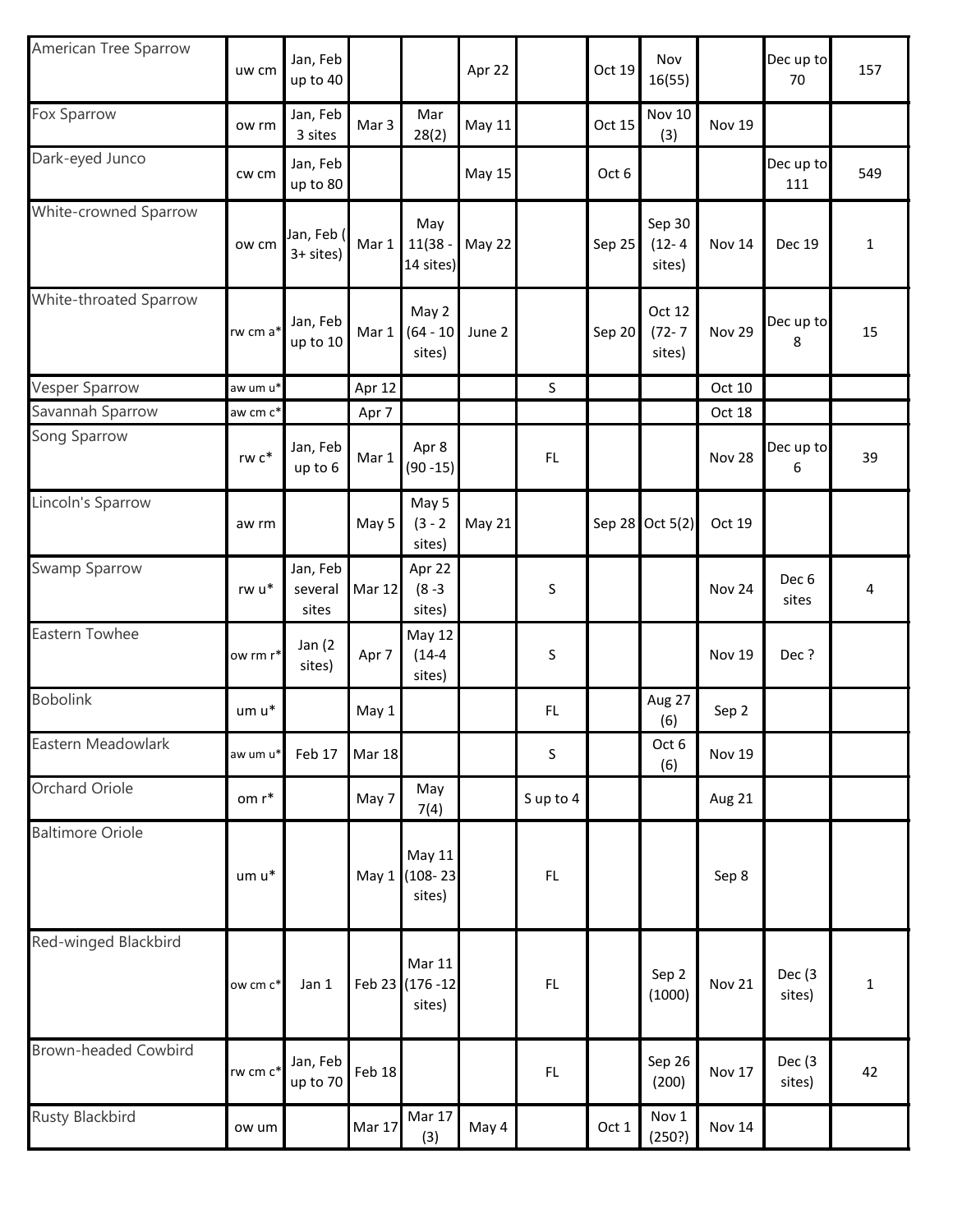| American Tree Sparrow       | uw cm    | Jan, Feb<br>up to 40         |               |                                             | Apr 22        |          | Oct 19 | Nov<br>16(55)                  |               | Dec up to<br>70           | 157         |
|-----------------------------|----------|------------------------------|---------------|---------------------------------------------|---------------|----------|--------|--------------------------------|---------------|---------------------------|-------------|
| Fox Sparrow                 | ow rm    | Jan, Feb<br>3 sites          | Mar 3         | Mar<br>28(2)                                | <b>May 11</b> |          | Oct 15 | <b>Nov 10</b><br>(3)           | Nov 19        |                           |             |
| Dark-eyed Junco             | cw cm    | Jan, Feb<br>up to 80         |               |                                             | May 15        |          | Oct 6  |                                |               | Dec up to<br>111          | 549         |
| White-crowned Sparrow       | ow cm    | Jan, Feb (<br>3+ sites)      | Mar 1         | May<br>$11(38 -$<br>14 sites)               | May 22        |          | Sep 25 | Sep 30<br>$(12 - 4)$<br>sites) | Nov 14        | <b>Dec 19</b>             | $\mathbf 1$ |
| White-throated Sparrow      | rw cm a* | Jan, Feb<br>up to 10         | Mar 1         | May 2<br>$(64 - 10)$<br>sites)              | June 2        |          | Sep 20 | Oct 12<br>$(72 - 7)$<br>sites) | Nov 29        | Dec up to<br>8            | 15          |
| <b>Vesper Sparrow</b>       | aw um u* |                              | Apr 12        |                                             |               | $\sf S$  |        |                                | Oct 10        |                           |             |
| Savannah Sparrow            | aw cm c* |                              | Apr 7         |                                             |               |          |        |                                | Oct 18        |                           |             |
| Song Sparrow                | rw c*    | Jan, Feb<br>up to 6          | Mar 1         | Apr 8<br>$(90 - 15)$                        |               | FL       |        |                                | <b>Nov 28</b> | Dec up to<br>6            | 39          |
| Lincoln's Sparrow           | aw rm    |                              | May 5         | May 5<br>$(3 - 2)$<br>sites)                | May 21        |          |        | Sep 28 Oct 5(2)                | Oct 19        |                           |             |
| Swamp Sparrow               | rw u*    | Jan, Feb<br>several<br>sites | <b>Mar 12</b> | Apr 22<br>$(8 - 3)$<br>sites)               |               | S        |        |                                | Nov 24        | Dec <sub>6</sub><br>sites | 4           |
| Eastern Towhee              | ow rm r* | Jan $(2)$<br>sites)          | Apr 7         | May 12<br>$(14-4)$<br>sites)                |               | S        |        |                                | <b>Nov 19</b> | Dec?                      |             |
| <b>Bobolink</b>             | um u*    |                              | May 1         |                                             |               | FL       |        | Aug 27<br>(6)                  | Sep 2         |                           |             |
| Eastern Meadowlark          | aw um u* | Feb 17                       | <b>Mar 18</b> |                                             |               | $\sf S$  |        | Oct 6<br>(6)                   | Nov 19        |                           |             |
| Orchard Oriole              | om r*    |                              | May 7         | May<br>7(4)                                 |               | Sup to 4 |        |                                | Aug 21        |                           |             |
| <b>Baltimore Oriole</b>     | $um u^*$ |                              |               | May 11<br>May 1 (108-23<br>sites)           |               | FL       |        |                                | Sep 8         |                           |             |
| Red-winged Blackbird        | ow cm c* | Jan 1                        |               | <b>Mar 11</b><br>Feb 23 (176 - 12<br>sites) |               | FL       |        | Sep 2<br>(1000)                | <b>Nov 21</b> | Dec (3)<br>sites)         | 1           |
| <b>Brown-headed Cowbird</b> | rw cm c* | Jan, Feb<br>up to 70         | <b>Feb 18</b> |                                             |               | FL       |        | Sep 26<br>(200)                | Nov 17        | Dec (3<br>sites)          | 42          |
| <b>Rusty Blackbird</b>      | ow um    |                              | Mar 17        | Mar 17<br>(3)                               | May 4         |          | Oct 1  | Nov 1<br>(250?)                | Nov 14        |                           |             |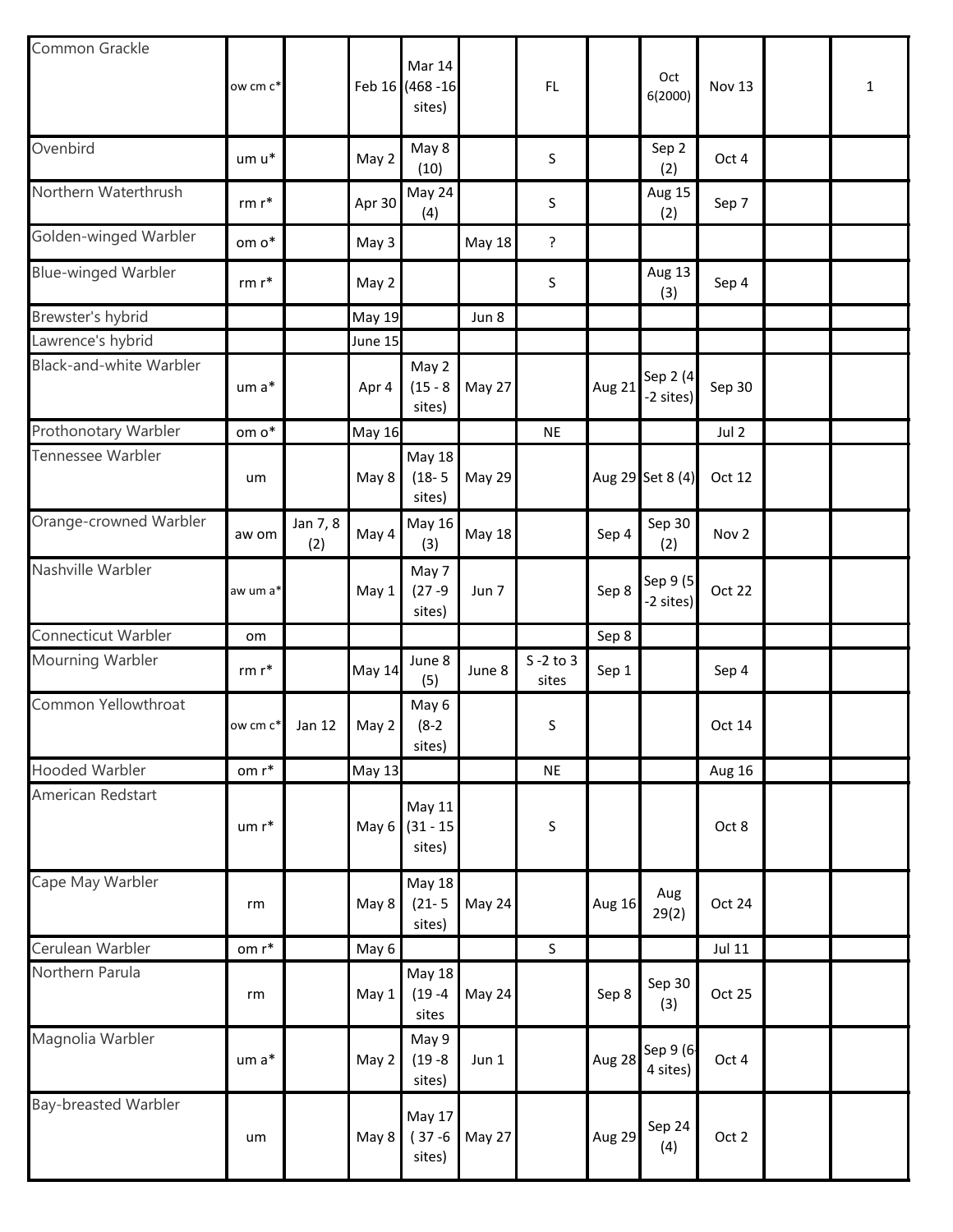| Common Grackle                 | ow cm c*             |                 |               | Mar 14<br>Feb 16 (468 - 16<br>sites)  |               | FL                    |        | Oct<br>6(2000)         | <b>Nov 13</b> | 1 |
|--------------------------------|----------------------|-----------------|---------------|---------------------------------------|---------------|-----------------------|--------|------------------------|---------------|---|
| Ovenbird                       | um u*                |                 | May 2         | May 8<br>(10)                         |               | S                     |        | Sep 2<br>(2)           | Oct 4         |   |
| Northern Waterthrush           | rm $\mathsf{r}^*$    |                 | Apr 30        | May 24<br>(4)                         |               | S                     |        | Aug 15<br>(2)          | Sep 7         |   |
| Golden-winged Warbler          | om $\mathsf{o}^*$    |                 | May 3         |                                       | <b>May 18</b> | ?                     |        |                        |               |   |
| <b>Blue-winged Warbler</b>     | $rm r*$              |                 | May 2         |                                       |               | S                     |        | Aug 13<br>(3)          | Sep 4         |   |
| Brewster's hybrid              |                      |                 | <b>May 19</b> |                                       | Jun 8         |                       |        |                        |               |   |
| Lawrence's hybrid              |                      |                 | June 15       |                                       |               |                       |        |                        |               |   |
| <b>Black-and-white Warbler</b> | um a*                |                 | Apr 4         | May 2<br>$(15 - 8)$<br>sites)         | May 27        |                       | Aug 21 | Sep 2 (4)<br>-2 sites) | Sep 30        |   |
| Prothonotary Warbler           | om o*                |                 | <b>May 16</b> |                                       |               | <b>NE</b>             |        |                        | Jul 2         |   |
| Tennessee Warbler              | um                   |                 | May 8         | <b>May 18</b><br>$(18 - 5)$<br>sites) | May 29        |                       |        | Aug 29 Set 8 (4)       | Oct 12        |   |
| Orange-crowned Warbler         | aw om                | Jan 7, 8<br>(2) | May 4         | May 16<br>(3)                         | May 18        |                       | Sep 4  | Sep 30<br>(2)          | Nov 2         |   |
| Nashville Warbler              | aw um a <sup>*</sup> |                 | May 1         | May 7<br>$(27 - 9)$<br>sites)         | Jun 7         |                       | Sep 8  | Sep 9 (5<br>-2 sites)  | Oct 22        |   |
| Connecticut Warbler            | om                   |                 |               |                                       |               |                       | Sep 8  |                        |               |   |
| Mourning Warbler               | $rm r*$              |                 | <b>May 14</b> | June 8<br>(5)                         | June 8        | $S - 2$ to 3<br>sites | Sep 1  |                        | Sep 4         |   |
| Common Yellowthroat            | ow cm c*             | Jan 12          | May 2         | May 6<br>$(8-2)$<br>sites)            |               | S                     |        |                        | Oct 14        |   |
| <b>Hooded Warbler</b>          | om $r^*$             |                 | <b>May 13</b> |                                       |               | <b>NE</b>             |        |                        | Aug 16        |   |
| American Redstart              | um r*                |                 | May 6         | May 11<br>$(31 - 15)$<br>sites)       |               | S                     |        |                        | Oct 8         |   |
| Cape May Warbler               | rm                   |                 | May 8         | <b>May 18</b><br>$(21 - 5)$<br>sites) | May 24        |                       | Aug 16 | Aug<br>29(2)           | Oct 24        |   |
| Cerulean Warbler               | om r*                |                 | May 6         |                                       |               | $\sf S$               |        |                        | <b>Jul 11</b> |   |
| Northern Parula                | rm                   |                 | May 1         | <b>May 18</b><br>$(19 - 4)$<br>sites  | May 24        |                       | Sep 8  | Sep 30<br>(3)          | Oct 25        |   |
| Magnolia Warbler               | um a*                |                 | May 2         | May 9<br>$(19 - 8)$<br>sites)         | Jun 1         |                       | Aug 28 | Sep 9 (6-<br>4 sites)  | Oct 4         |   |
| Bay-breasted Warbler           | um                   |                 | May 8         | May 17<br>$(37 - 6)$<br>sites)        | May 27        |                       | Aug 29 | Sep 24<br>(4)          | Oct 2         |   |